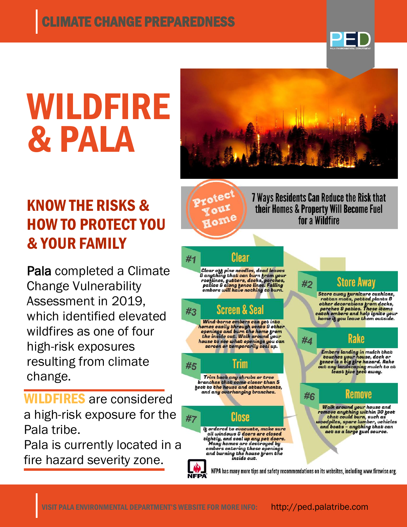

# WILDFIRE & PALA

## KNOW THE RISKS & HOW TO PROTECT YOU & YOUR FAMILY

Pala completed a Climate Change Vulnerability Assessment in 2019, which identified elevated wildfires as one of four high-risk exposures resulting from climate change.

WILDFIRES are considered a high-risk exposure for the Pala tribe.

Pala is currently located in a fire hazard severity zone.



**NFPA**